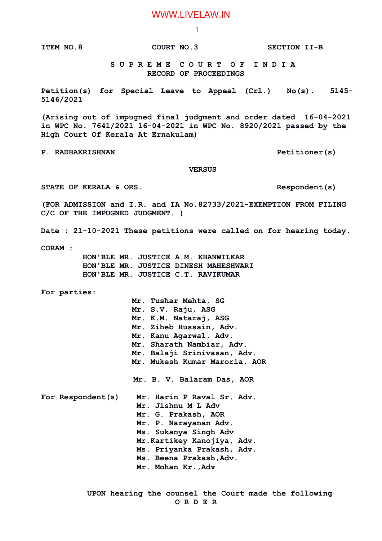## WWW.LIVELAW.IN

1

**ITEM NO.8 COURT NO.3 SECTION II-B**

 **S U P R E M E C O U R T O F I N D I A RECORD OF PROCEEDINGS**

**Petition(s) for Special Leave to Appeal (Crl.) No(s). 5145- 5146/2021**

**(Arising out of impugned final judgment and order dated 16-04-2021 in WPC No. 7641/2021 16-04-2021 in WPC No. 8920/2021 passed by the High Court Of Kerala At Ernakulam)**

**P. RADHAKRISHNAN P. RADHAKRISHNAN** 

 **VERSUS**

STATE OF KERALA & ORS. The second second second second second second second second second second second second s

**(FOR ADMISSION and I.R. and IA No.82733/2021-EXEMPTION FROM FILING C/C OF THE IMPUGNED JUDGMENT. )**

**Date : 21-10-2021 These petitions were called on for hearing today.**

**CORAM :** 

 **HON'BLE MR. JUSTICE A.M. KHANWILKAR HON'BLE MR. JUSTICE DINESH MAHESHWARI HON'BLE MR. JUSTICE C.T. RAVIKUMAR**

**For parties:**

 **Mr. Tushar Mehta, SG Mr. S.V. Raju, ASG Mr. K.M. Nataraj, ASG Mr. Ziheb Hussain, Adv. Mr. Kanu Agarwal, Adv. Mr. Sharath Nambiar, Adv. Mr. Balaji Srinivasan, Adv. Mr. Mukesh Kumar Maroria, AOR Mr. B. V. Balaram Das, AOR For Respondent(s) Mr. Harin P Raval Sr. Adv. Mr. Jishnu M L Adv Mr. G. Prakash, AOR Mr. P. Narayanan Adv. Ms. Sukanya Singh Adv**

 **Mr.Kartikey Kanojiya, Adv.**

 **Ms. Priyanka Prakash, Adv.** 

 **Ms. Beena Prakash,Adv.**

 **Mr. Mohan Kr.,Adv**

 **UPON hearing the counsel the Court made the following O R D E R**